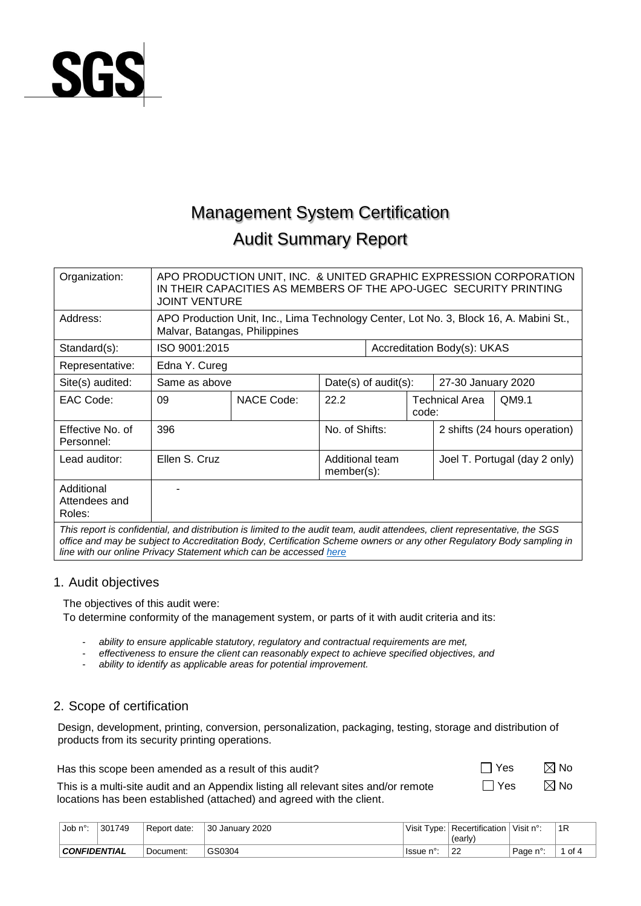

# Management System Certification Audit Summary Report

| Organization:                                                                                                               | APO PRODUCTION UNIT, INC. & UNITED GRAPHIC EXPRESSION CORPORATION<br>IN THEIR CAPACITIES AS MEMBERS OF THE APO-UGEC SECURITY PRINTING<br><b>JOINT VENTURE</b> |                                                                                                                         |                |                         |                               |                               |                    |  |  |  |  |
|-----------------------------------------------------------------------------------------------------------------------------|---------------------------------------------------------------------------------------------------------------------------------------------------------------|-------------------------------------------------------------------------------------------------------------------------|----------------|-------------------------|-------------------------------|-------------------------------|--------------------|--|--|--|--|
| Address:                                                                                                                    |                                                                                                                                                               | APO Production Unit, Inc., Lima Technology Center, Lot No. 3, Block 16, A. Mabini St.,<br>Malvar, Batangas, Philippines |                |                         |                               |                               |                    |  |  |  |  |
| Standard(s):                                                                                                                | ISO 9001:2015                                                                                                                                                 |                                                                                                                         |                |                         |                               | Accreditation Body(s): UKAS   |                    |  |  |  |  |
| Representative:                                                                                                             | Edna Y. Cureg                                                                                                                                                 |                                                                                                                         |                |                         |                               |                               |                    |  |  |  |  |
| Site(s) audited:                                                                                                            | Same as above                                                                                                                                                 |                                                                                                                         |                | Date(s) of $audit(s)$ : |                               |                               | 27-30 January 2020 |  |  |  |  |
| EAC Code:                                                                                                                   | 09                                                                                                                                                            | <b>NACE Code:</b>                                                                                                       | 22.2           | code:                   |                               | Technical Area                | QM9.1              |  |  |  |  |
| Effective No. of<br>Personnel:                                                                                              | 396                                                                                                                                                           |                                                                                                                         | No. of Shifts: |                         |                               | 2 shifts (24 hours operation) |                    |  |  |  |  |
| Lead auditor:                                                                                                               | Ellen S. Cruz                                                                                                                                                 | Additional team<br>$member(s)$ :                                                                                        |                |                         | Joel T. Portugal (day 2 only) |                               |                    |  |  |  |  |
| Additional<br>Attendees and<br>Roles:                                                                                       |                                                                                                                                                               |                                                                                                                         |                |                         |                               |                               |                    |  |  |  |  |
| This report is confidential, and distribution is limited to the audit team, audit attendees, client representative, the SGS |                                                                                                                                                               |                                                                                                                         |                |                         |                               |                               |                    |  |  |  |  |

*office and may be subject to Accreditation Body, Certification Scheme owners or any other Regulatory Body sampling in line with our online Privacy Statement which can be accessed [here](https://www.sgs.com/en/privacy-at-sgs)*

## 1. Audit objectives

The objectives of this audit were:

To determine conformity of the management system, or parts of it with audit criteria and its:

- *ability to ensure applicable statutory, regulatory and contractual requirements are met,*
- *effectiveness to ensure the client can reasonably expect to achieve specified objectives, and*
- *ability to identify as applicable areas for potential improvement.*

## 2. Scope of certification

Design, development, printing, conversion, personalization, packaging, testing, storage and distribution of products from its security printing operations.

Has this scope been amended as a result of this audit?  $\Box$  Yes  $\Box$  Yes  $\Box$  No

| $\Box$ Yes | $\boxtimes$ No |
|------------|----------------|
| $\Box$ Yes | $\boxtimes$ No |

This is a multi-site audit and an Appendix listing all relevant sites and/or remote locations has been established (attached) and agreed with the client.

| , Job n° <sup>.</sup> | 301749 | Report date: | 30 January 2020 | Visit Type:     | Recertification<br>(early) | Visit n°: | 1R   |
|-----------------------|--------|--------------|-----------------|-----------------|----------------------------|-----------|------|
| <b>CONFIDENTIAL</b>   |        | Document:    | GS0304          | nv.<br>±Issue i | n.<br>22                   | ⊹Paαe n°  | of 4 |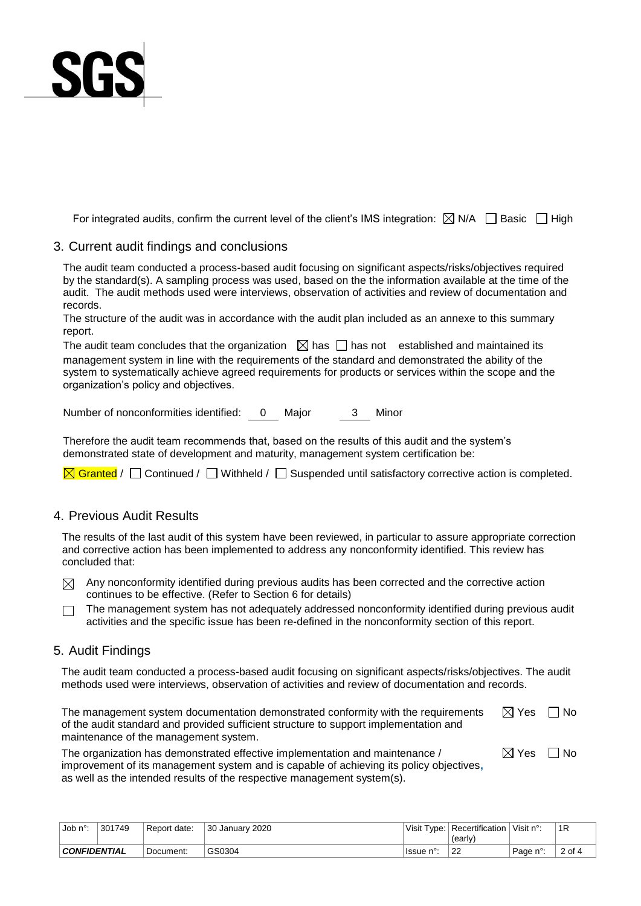

For integrated audits, confirm the current level of the client's IMS integration:  $\boxtimes$  N/A  $\Box$  Basic  $\Box$  High

### 3. Current audit findings and conclusions

The audit team conducted a process-based audit focusing on significant aspects/risks/objectives required by the standard(s). A sampling process was used, based on the the information available at the time of the audit. The audit methods used were interviews, observation of activities and review of documentation and records.

The structure of the audit was in accordance with the audit plan included as an annexe to this summary report.

The audit team concludes that the organization  $\Box$  has  $\Box$  has not established and maintained its management system in line with the requirements of the standard and demonstrated the ability of the system to systematically achieve agreed requirements for products or services within the scope and the organization's policy and objectives.

Number of nonconformities identified: 0 Major 3 Minor

Therefore the audit team recommends that, based on the results of this audit and the system's demonstrated state of development and maturity, management system certification be:

 $\overline{\boxtimes}$  Granted /  $\Box$  Continued /  $\Box$  Withheld /  $\Box$  Suspended until satisfactory corrective action is completed.

## 4. Previous Audit Results

The results of the last audit of this system have been reviewed, in particular to assure appropriate correction and corrective action has been implemented to address any nonconformity identified. This review has concluded that:

 $\boxtimes$  Any nonconformity identified during previous audits has been corrected and the corrective action continues to be effective. (Refer to Section 6 for details)

The management system has not adequately addressed nonconformity identified during previous audit  $\Box$ activities and the specific issue has been re-defined in the nonconformity section of this report.

#### 5. Audit Findings

The audit team conducted a process-based audit focusing on significant aspects/risks/objectives. The audit methods used were interviews, observation of activities and review of documentation and records.

The management system documentation demonstrated conformity with the requirements of the audit standard and provided sufficient structure to support implementation and maintenance of the management system.  $\boxtimes$  Yes  $\Box$  No

 $\boxtimes$  Yes  $\Box$  No

The organization has demonstrated effective implementation and maintenance / improvement of its management system and is capable of achieving its policy objectives**,**  as well as the intended results of the respective management system(s).

| . Job n°∙           | 301749 | Report date: | 30 January 2020 |                                 | Visit Type: Recertification<br>(early) | Visit n°: | 1R     |
|---------------------|--------|--------------|-----------------|---------------------------------|----------------------------------------|-----------|--------|
| <b>CONFIDENTIAL</b> |        | Document:    | GS0304          | <sup>1</sup> Issue <sub>1</sub> | $\sim$<br>∠∠                           | Page n°:  | 2 of 4 |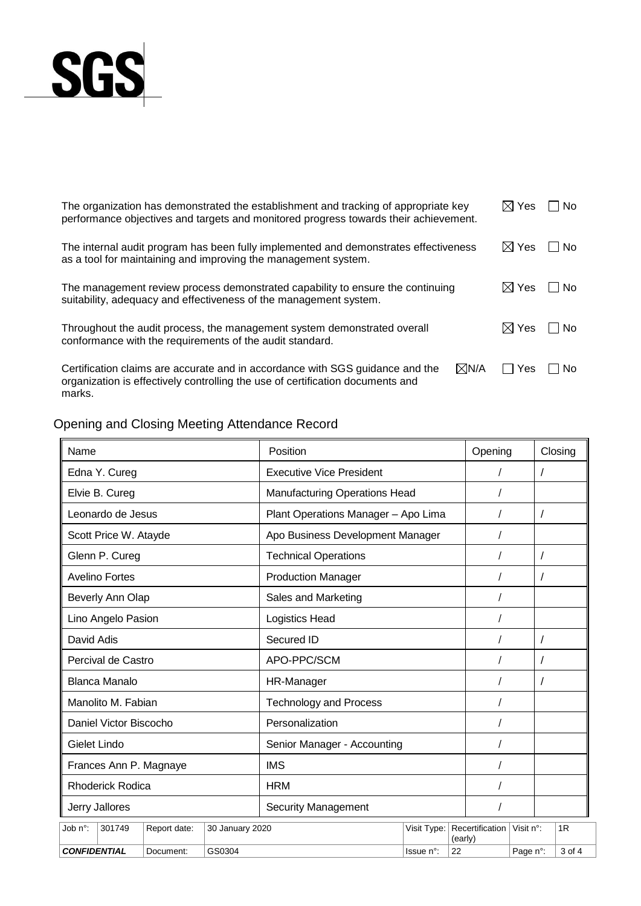

| The organization has demonstrated the establishment and tracking of appropriate key<br>performance objectives and targets and monitored progress towards their achievement.                  | $\boxtimes$ Yes | No.    |
|----------------------------------------------------------------------------------------------------------------------------------------------------------------------------------------------|-----------------|--------|
| The internal audit program has been fully implemented and demonstrates effectiveness<br>as a tool for maintaining and improving the management system.                                       | $\boxtimes$ Yes | No.    |
| The management review process demonstrated capability to ensure the continuing<br>suitability, adequacy and effectiveness of the management system.                                          | $\boxtimes$ Yes | l No   |
| Throughout the audit process, the management system demonstrated overall<br>conformance with the requirements of the audit standard.                                                         | $\boxtimes$ Yes | – I No |
| $\boxtimes$ N/A<br>Certification claims are accurate and in accordance with SGS guidance and the<br>organization is effectively controlling the use of certification documents and<br>marks. | l Yes           | No.    |

Opening and Closing Meeting Attendance Record

| Name                    |                                                  |              |                 | Position                             |             |         |                 | Opening   | Closing |        |
|-------------------------|--------------------------------------------------|--------------|-----------------|--------------------------------------|-------------|---------|-----------------|-----------|---------|--------|
|                         | Edna Y. Cureg<br><b>Executive Vice President</b> |              |                 |                                      |             |         |                 |           |         |        |
|                         | Elvie B. Cureg                                   |              |                 | <b>Manufacturing Operations Head</b> |             |         |                 |           |         |        |
| Leonardo de Jesus       |                                                  |              |                 | Plant Operations Manager - Apo Lima  |             |         |                 |           |         |        |
|                         | Scott Price W. Atayde                            |              |                 | Apo Business Development Manager     |             |         |                 |           |         |        |
|                         | Glenn P. Cureg                                   |              |                 | <b>Technical Operations</b>          |             |         |                 |           |         |        |
|                         | <b>Avelino Fortes</b>                            |              |                 | <b>Production Manager</b>            |             |         |                 |           |         |        |
|                         | Beverly Ann Olap                                 |              |                 | Sales and Marketing                  |             |         |                 |           |         |        |
|                         | Lino Angelo Pasion                               |              |                 | Logistics Head                       |             |         |                 |           |         |        |
|                         | David Adis                                       |              |                 | Secured ID                           |             |         |                 |           |         |        |
|                         | Percival de Castro                               |              |                 | APO-PPC/SCM                          |             |         |                 |           |         |        |
|                         | Blanca Manalo                                    |              |                 | HR-Manager                           |             |         |                 |           |         |        |
|                         | Manolito M. Fabian                               |              |                 | <b>Technology and Process</b>        |             |         |                 |           |         |        |
|                         | Daniel Victor Biscocho                           |              |                 | Personalization                      |             |         |                 |           |         |        |
|                         | Gielet Lindo                                     |              |                 | Senior Manager - Accounting          |             |         |                 |           |         |        |
|                         | Frances Ann P. Magnaye                           |              |                 | <b>IMS</b>                           |             |         |                 |           |         |        |
| <b>Rhoderick Rodica</b> |                                                  |              |                 | <b>HRM</b>                           |             |         |                 |           |         |        |
| Jerry Jallores          |                                                  |              |                 | <b>Security Management</b>           |             |         |                 |           |         |        |
| Job n°:                 | 301749                                           | Report date: | 30 January 2020 |                                      | Visit Type: | (early) | Recertification | Visit n°: |         | 1R     |
| <b>CONFIDENTIAL</b>     |                                                  | Document:    | GS0304          |                                      | Issue n°:   | 22      |                 | Page n°:  |         | 3 of 4 |